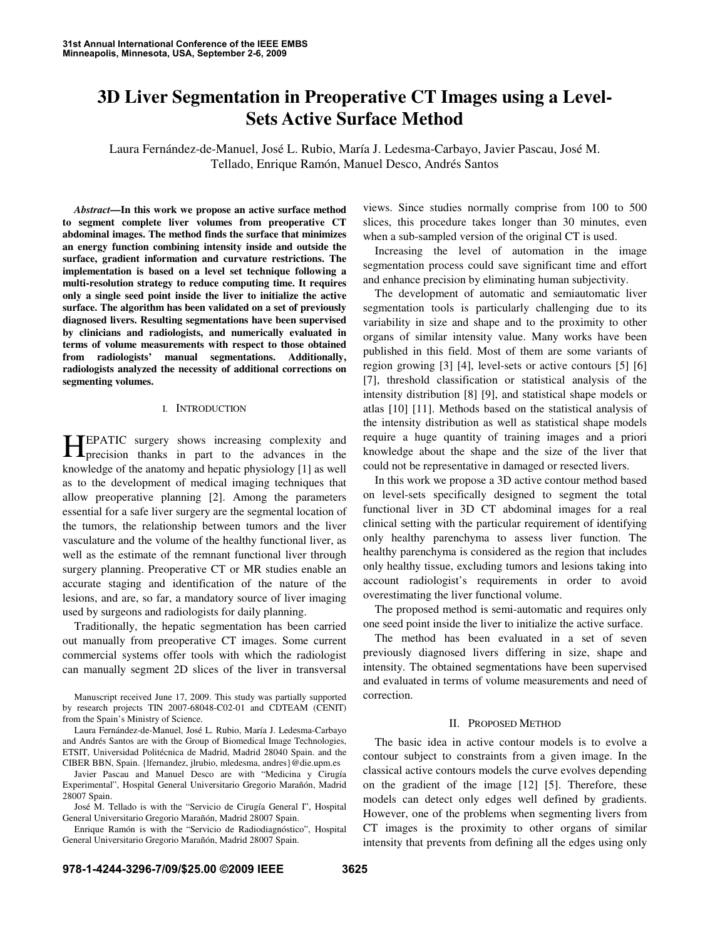# **3D Liver Segmentation in Preoperative CT Images using a Level-Sets Active Surface Method**

Laura Fernández-de-Manuel, José L. Rubio, María J. Ledesma-Carbayo, Javier Pascau, José M. Tellado, Enrique Ramón, Manuel Desco, Andrés Santos

*Abstract***—In this work we propose an active surface method to segment complete liver volumes from preoperative CT abdominal images. The method finds the surface that minimizes an energy function combining intensity inside and outside the surface, gradient information and curvature restrictions. The implementation is based on a level set technique following a multi-resolution strategy to reduce computing time. It requires only a single seed point inside the liver to initialize the active surface. The algorithm has been validated on a set of previously diagnosed livers. Resulting segmentations have been supervised by clinicians and radiologists, and numerically evaluated in terms of volume measurements with respect to those obtained from radiologists' manual segmentations. Additionally, radiologists analyzed the necessity of additional corrections on segmenting volumes.** 

#### I. INTRODUCTION

EPATIC surgery shows increasing complexity and HEPATIC surgery shows increasing complexity and precision thanks in part to the advances in the knowledge of the anatomy and hepatic physiology [1] as well as to the development of medical imaging techniques that allow preoperative planning [2]. Among the parameters essential for a safe liver surgery are the segmental location of the tumors, the relationship between tumors and the liver vasculature and the volume of the healthy functional liver, as well as the estimate of the remnant functional liver through surgery planning. Preoperative CT or MR studies enable an accurate staging and identification of the nature of the lesions, and are, so far, a mandatory source of liver imaging used by surgeons and radiologists for daily planning.

Traditionally, the hepatic segmentation has been carried out manually from preoperative CT images. Some current commercial systems offer tools with which the radiologist can manually segment 2D slices of the liver in transversal

Manuscript received June 17, 2009. This study was partially supported by research projects TIN 2007-68048-C02-01 and CDTEAM (CENIT) from the Spain's Ministry of Science.

Laura Fernández-de-Manuel, José L. Rubio, María J. Ledesma-Carbayo and Andrés Santos are with the Group of Biomedical Image Technologies, ETSIT, Universidad Politécnica de Madrid, Madrid 28040 Spain. and the CIBER BBN, Spain. {lfernandez, jlrubio, mledesma, andres}@die.upm.es

Javier Pascau and Manuel Desco are with "Medicina y Cirugía Experimental", Hospital General Universitario Gregorio Marañón, Madrid 28007 Spain.

José M. Tellado is with the "Servicio de Cirugía General I", Hospital General Universitario Gregorio Marañón, Madrid 28007 Spain.

Enrique Ramón is with the "Servicio de Radiodiagnóstico", Hospital General Universitario Gregorio Marañón, Madrid 28007 Spain.

views. Since studies normally comprise from 100 to 500 slices, this procedure takes longer than 30 minutes, even when a sub-sampled version of the original CT is used.

Increasing the level of automation in the image segmentation process could save significant time and effort and enhance precision by eliminating human subjectivity.

The development of automatic and semiautomatic liver segmentation tools is particularly challenging due to its variability in size and shape and to the proximity to other organs of similar intensity value. Many works have been published in this field. Most of them are some variants of region growing [3] [4], level-sets or active contours [5] [6] [7], threshold classification or statistical analysis of the intensity distribution [8] [9], and statistical shape models or atlas [10] [11]. Methods based on the statistical analysis of the intensity distribution as well as statistical shape models require a huge quantity of training images and a priori knowledge about the shape and the size of the liver that could not be representative in damaged or resected livers.

In this work we propose a 3D active contour method based on level-sets specifically designed to segment the total functional liver in 3D CT abdominal images for a real clinical setting with the particular requirement of identifying only healthy parenchyma to assess liver function. The healthy parenchyma is considered as the region that includes only healthy tissue, excluding tumors and lesions taking into account radiologist's requirements in order to avoid overestimating the liver functional volume.

The proposed method is semi-automatic and requires only one seed point inside the liver to initialize the active surface.

The method has been evaluated in a set of seven previously diagnosed livers differing in size, shape and intensity. The obtained segmentations have been supervised and evaluated in terms of volume measurements and need of correction.

#### II. PROPOSED METHOD

The basic idea in active contour models is to evolve a contour subject to constraints from a given image. In the classical active contours models the curve evolves depending on the gradient of the image [12] [5]. Therefore, these models can detect only edges well defined by gradients. However, one of the problems when segmenting livers from CT images is the proximity to other organs of similar intensity that prevents from defining all the edges using only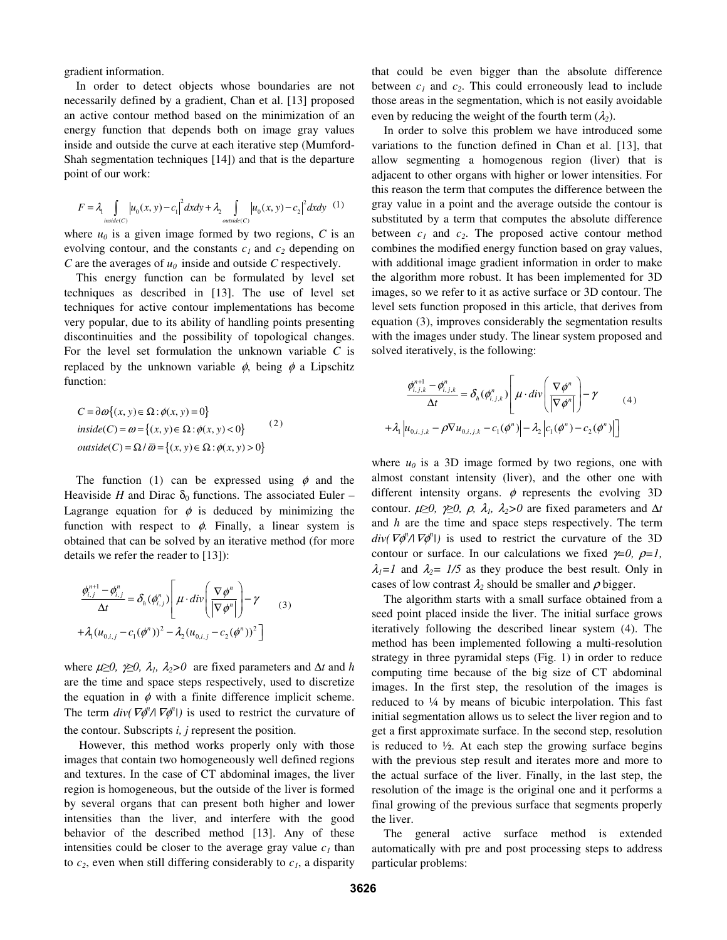gradient information.

In order to detect objects whose boundaries are not necessarily defined by a gradient, Chan et al. [13] proposed an active contour method based on the minimization of an energy function that depends both on image gray values inside and outside the curve at each iterative step (Mumford-Shah segmentation techniques [14]) and that is the departure point of our work:

$$
F = \lambda_1 \int_{inside(C)} \left| u_0(x, y) - c_1 \right|^2 dx dy + \lambda_2 \int_{outside(C)} \left| u_0(x, y) - c_2 \right|^2 dx dy \tag{1}
$$

where  $u_0$  is a given image formed by two regions, C is an evolving contour, and the constants  $c<sub>1</sub>$  and  $c<sub>2</sub>$  depending on *C* are the averages of *u<sup>0</sup>* inside and outside *C* respectively.

This energy function can be formulated by level set techniques as described in [13]. The use of level set techniques for active contour implementations has become very popular, due to its ability of handling points presenting discontinuities and the possibility of topological changes. For the level set formulation the unknown variable *C* is replaced by the unknown variable  $\phi$ , being  $\phi$  a Lipschitz function:

$$
C = \partial \omega \{(x, y) \in \Omega : \phi(x, y) = 0\}
$$
  
inside(C) =  $\omega = \{(x, y) \in \Omega : \phi(x, y) < 0\}$   
outside(C) =  $\Omega / \overline{\omega} = \{(x, y) \in \Omega : \phi(x, y) > 0\}$  (2)

The function (1) can be expressed using  $\phi$  and the Heaviside *H* and Dirac  $\delta_0$  functions. The associated Euler – Lagrange equation for  $\phi$  is deduced by minimizing the function with respect to  $\phi$ . Finally, a linear system is obtained that can be solved by an iterative method (for more details we refer the reader to [13]):

$$
\frac{\phi_{i,j}^{n+1} - \phi_{i,j}^n}{\Delta t} = \delta_h(\phi_{i,j}^n) \left[ \mu \cdot div \left( \frac{\nabla \phi^n}{|\nabla \phi^n|} \right) - \gamma \right]
$$
\n
$$
+ \lambda_1 (u_{0,i,j} - c_1(\phi^n))^2 - \lambda_2 (u_{0,i,j} - c_2(\phi^n))^2 \right]
$$
\n(3)

where  $\mu \geq 0$ ,  $\gamma \geq 0$ ,  $\lambda_1$ ,  $\lambda_2 > 0$  are fixed parameters and  $\Delta t$  and h are the time and space steps respectively, used to discretize the equation in  $\phi$  with a finite difference implicit scheme. The term  $div(\nabla \phi^n / \nabla \phi^n)$  is used to restrict the curvature of the contour. Subscripts *i, j* represent the position.

However, this method works properly only with those images that contain two homogeneously well defined regions and textures. In the case of CT abdominal images, the liver region is homogeneous, but the outside of the liver is formed by several organs that can present both higher and lower intensities than the liver, and interfere with the good behavior of the described method [13]. Any of these intensities could be closer to the average gray value  $c<sub>1</sub>$  than to  $c_2$ , even when still differing considerably to  $c_1$ , a disparity that could be even bigger than the absolute difference between  $c_1$  and  $c_2$ . This could erroneously lead to include those areas in the segmentation, which is not easily avoidable even by reducing the weight of the fourth term  $(\lambda_2)$ .

In order to solve this problem we have introduced some variations to the function defined in Chan et al. [13], that allow segmenting a homogenous region (liver) that is adjacent to other organs with higher or lower intensities. For this reason the term that computes the difference between the gray value in a point and the average outside the contour is substituted by a term that computes the absolute difference between *c<sup>1</sup>* and *c2*. The proposed active contour method combines the modified energy function based on gray values, with additional image gradient information in order to make the algorithm more robust. It has been implemented for 3D images, so we refer to it as active surface or 3D contour. The level sets function proposed in this article, that derives from equation (3), improves considerably the segmentation results with the images under study. The linear system proposed and solved iteratively, is the following:

$$
\frac{\phi_{i,j,k}^{n+1} - \phi_{i,j,k}^n}{\Delta t} = \delta_h(\phi_{i,j,k}^n) \left[ \mu \cdot div \left( \frac{\nabla \phi^n}{|\nabla \phi^n|} \right) - \gamma \right] \tag{4}
$$
\n
$$
+ \lambda_1 \left| u_{0,i,j,k} - \rho \nabla u_{0,i,j,k} - c_1(\phi^n) \right| - \lambda_2 \left| c_1(\phi^n) - c_2(\phi^n) \right| \right]
$$

where  $u_0$  is a 3D image formed by two regions, one with almost constant intensity (liver), and the other one with different intensity organs.  $\phi$  represents the evolving 3D contour.  $\mu \geq 0$ ,  $\gamma \geq 0$ ,  $\rho$ ,  $\lambda_1$ ,  $\lambda_2 > 0$  are fixed parameters and  $\Delta t$ and *h* are the time and space steps respectively. The term  $div(\nabla \phi^n / |\nabla \phi^n|)$  is used to restrict the curvature of the 3D contour or surface. In our calculations we fixed  $\gamma=0$ ,  $\rho=1$ ,  $\lambda_1 = 1$  and  $\lambda_2 = 1/5$  as they produce the best result. Only in cases of low contrast  $\lambda_2$  should be smaller and  $\rho$  bigger.

The algorithm starts with a small surface obtained from a seed point placed inside the liver. The initial surface grows iteratively following the described linear system (4). The method has been implemented following a multi-resolution strategy in three pyramidal steps (Fig. 1) in order to reduce computing time because of the big size of CT abdominal images. In the first step, the resolution of the images is reduced to ¼ by means of bicubic interpolation. This fast initial segmentation allows us to select the liver region and to get a first approximate surface. In the second step, resolution is reduced to  $\frac{1}{2}$ . At each step the growing surface begins with the previous step result and iterates more and more to the actual surface of the liver. Finally, in the last step, the resolution of the image is the original one and it performs a final growing of the previous surface that segments properly the liver.

The general active surface method is extended automatically with pre and post processing steps to address particular problems: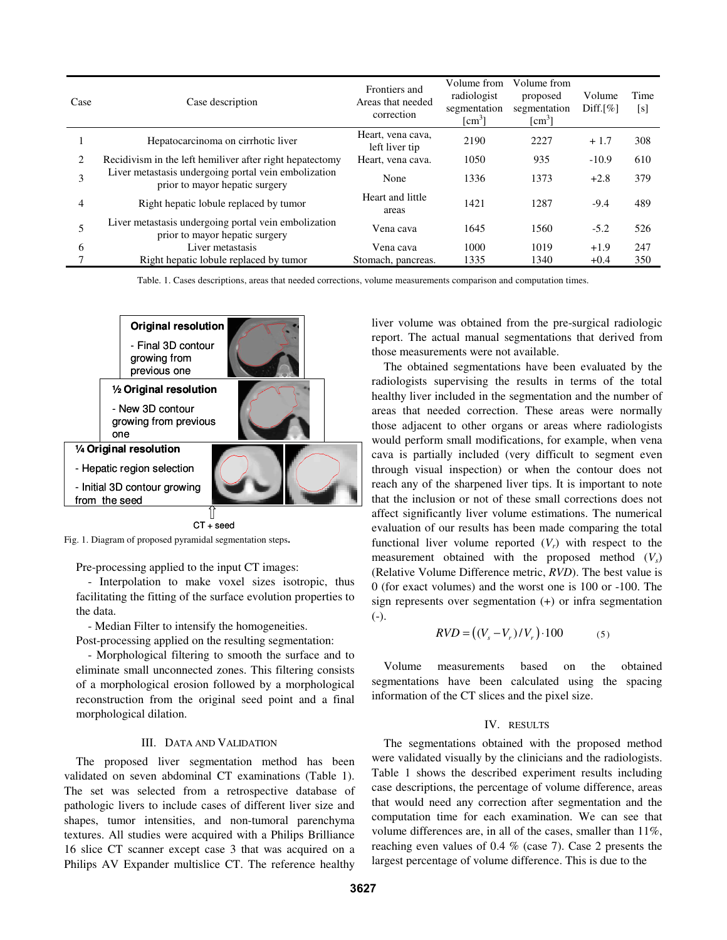| Case | Case description                                                                       | Frontiers and<br>Areas that needed<br>correction | Volume from<br>radiologist<br>segmentation<br>$\lceil$ cm <sup>3</sup> $\rceil$ | Volume from<br>proposed<br>segmentation<br>$\lceil$ cm <sup>3</sup> $\rceil$ | Volume<br>$Diff.[\%]$ | Time<br>[s] |
|------|----------------------------------------------------------------------------------------|--------------------------------------------------|---------------------------------------------------------------------------------|------------------------------------------------------------------------------|-----------------------|-------------|
|      | Hepatocarcinoma on cirrhotic liver                                                     | Heart, vena cava,<br>left liver tip              | 2190                                                                            | 2227                                                                         | $+1.7$                | 308         |
| 2    | Recidivism in the left hemiliver after right hepatectomy                               | Heart, vena cava.                                | 1050                                                                            | 935                                                                          | $-10.9$               | 610         |
| 3    | Liver metastasis undergoing portal vein embolization<br>prior to mayor hepatic surgery | None                                             | 1336                                                                            | 1373                                                                         | $+2.8$                | 379         |
| 4    | Right hepatic lobule replaced by tumor                                                 | Heart and little<br>areas                        | 1421                                                                            | 1287                                                                         | $-9.4$                | 489         |
| 5    | Liver metastasis undergoing portal vein embolization<br>prior to mayor hepatic surgery | Vena cava                                        | 1645                                                                            | 1560                                                                         | $-5.2$                | 526         |
| 6    | Liver metastasis                                                                       | Vena cava                                        | 1000                                                                            | 1019                                                                         | $+1.9$                | 247         |
|      | Right hepatic lobule replaced by tumor                                                 | Stomach, pancreas.                               | 1335                                                                            | 1340                                                                         | $+0.4$                | 350         |

Table. 1. Cases descriptions, areas that needed corrections, volume measurements comparison and computation times.



Fig. 1. Diagram of proposed pyramidal segmentation steps**.** 

Pre-processing applied to the input CT images:

- Interpolation to make voxel sizes isotropic, thus facilitating the fitting of the surface evolution properties to the data.

- Median Filter to intensify the homogeneities.

Post-processing applied on the resulting segmentation:

- Morphological filtering to smooth the surface and to eliminate small unconnected zones. This filtering consists of a morphological erosion followed by a morphological reconstruction from the original seed point and a final morphological dilation.

# III. DATA AND VALIDATION

The proposed liver segmentation method has been validated on seven abdominal CT examinations (Table 1). The set was selected from a retrospective database of pathologic livers to include cases of different liver size and shapes, tumor intensities, and non-tumoral parenchyma textures. All studies were acquired with a Philips Brilliance 16 slice CT scanner except case 3 that was acquired on a Philips AV Expander multislice CT. The reference healthy liver volume was obtained from the pre-surgical radiologic report. The actual manual segmentations that derived from those measurements were not available.

The obtained segmentations have been evaluated by the radiologists supervising the results in terms of the total healthy liver included in the segmentation and the number of areas that needed correction. These areas were normally those adjacent to other organs or areas where radiologists would perform small modifications, for example, when vena cava is partially included (very difficult to segment even through visual inspection) or when the contour does not reach any of the sharpened liver tips. It is important to note that the inclusion or not of these small corrections does not affect significantly liver volume estimations. The numerical evaluation of our results has been made comparing the total functional liver volume reported  $(V_r)$  with respect to the measurement obtained with the proposed method (*Vs*) (Relative Volume Difference metric, *RVD*). The best value is 0 (for exact volumes) and the worst one is 100 or -100. The sign represents over segmentation (+) or infra segmentation  $(-)$ .

$$
RVD = ((V_s - V_r)/V_r) \cdot 100 \tag{5}
$$

Volume measurements based on the obtained segmentations have been calculated using the spacing information of the CT slices and the pixel size.

# IV. RESULTS

The segmentations obtained with the proposed method were validated visually by the clinicians and the radiologists. Table 1 shows the described experiment results including case descriptions, the percentage of volume difference, areas that would need any correction after segmentation and the computation time for each examination. We can see that volume differences are, in all of the cases, smaller than 11%, reaching even values of 0.4 % (case 7). Case 2 presents the largest percentage of volume difference. This is due to the